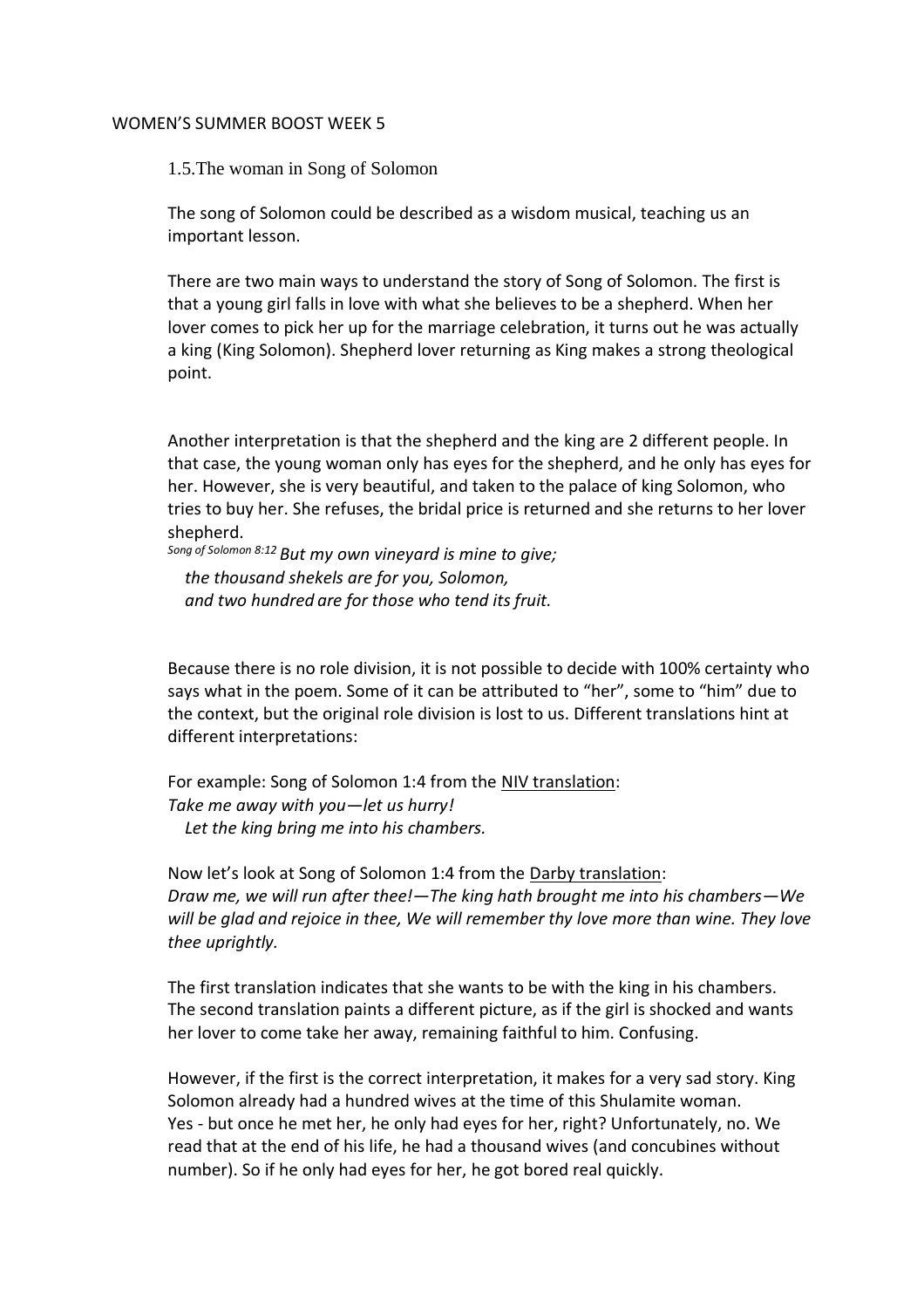## WOMEN'S SUMMER BOOST WEEK 5

1.5.The woman in Song of Solomon

The song of Solomon could be described as a wisdom musical, teaching us an important lesson.

There are two main ways to understand the story of Song of Solomon. The first is that a young girl falls in love with what she believes to be a shepherd. When her lover comes to pick her up for the marriage celebration, it turns out he was actually a king (King Solomon). Shepherd lover returning as King makes a strong theological point.

Another interpretation is that the shepherd and the king are 2 different people. In that case, the young woman only has eyes for the shepherd, and he only has eyes for her. However, she is very beautiful, and taken to the palace of king Solomon, who tries to buy her. She refuses, the bridal price is returned and she returns to her lover shepherd.

*Song of Solomon 8:12 But my own vineyard is mine to give; the thousand shekels are for you, Solomon, and two hundred are for those who tend its fruit.*

Because there is no role division, it is not possible to decide with 100% certainty who says what in the poem. Some of it can be attributed to "her", some to "him" due to the context, but the original role division is lost to us. Different translations hint at different interpretations:

For example: Song of Solomon 1:4 from the NIV translation: *Take me away with you—let us hurry! Let the king bring me into his chambers.*

Now let's look at Song of Solomon 1:4 from the Darby translation: *Draw me, we will run after thee!—The king hath brought me into his chambers—We will be glad and rejoice in thee, We will remember thy love more than wine. They love thee uprightly.*

The first translation indicates that she wants to be with the king in his chambers. The second translation paints a different picture, as if the girl is shocked and wants her lover to come take her away, remaining faithful to him. Confusing.

However, if the first is the correct interpretation, it makes for a very sad story. King Solomon already had a hundred wives at the time of this Shulamite woman. Yes - but once he met her, he only had eyes for her, right? Unfortunately, no. We read that at the end of his life, he had a thousand wives (and concubines without number). So if he only had eyes for her, he got bored real quickly.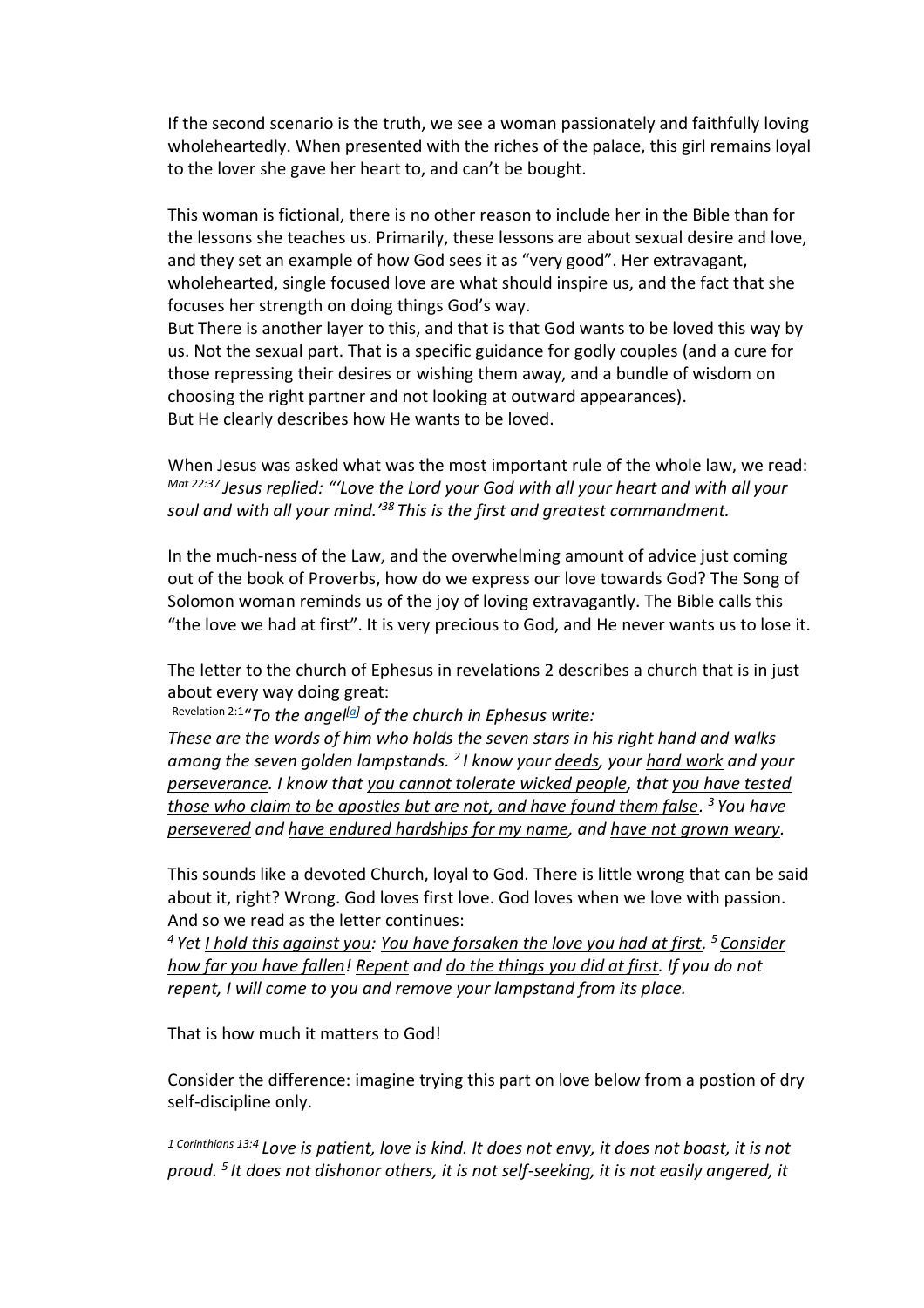If the second scenario is the truth, we see a woman passionately and faithfully loving wholeheartedly. When presented with the riches of the palace, this girl remains loyal to the lover she gave her heart to, and can't be bought.

This woman is fictional, there is no other reason to include her in the Bible than for the lessons she teaches us. Primarily, these lessons are about sexual desire and love, and they set an example of how God sees it as "very good". Her extravagant, wholehearted, single focused love are what should inspire us, and the fact that she focuses her strength on doing things God's way.

But There is another layer to this, and that is that God wants to be loved this way by us. Not the sexual part. That is a specific guidance for godly couples (and a cure for those repressing their desires or wishing them away, and a bundle of wisdom on choosing the right partner and not looking at outward appearances). But He clearly describes how He wants to be loved.

When Jesus was asked what was the most important rule of the whole law, we read: *Mat 22:37 Jesus replied: "'Love the Lord your God with all your heart and with all your soul and with all your mind.'<sup>38</sup> This is the first and greatest commandment.*

In the much-ness of the Law, and the overwhelming amount of advice just coming out of the book of Proverbs, how do we express our love towards God? The Song of Solomon woman reminds us of the joy of loving extravagantly. The Bible calls this "the love we had at first". It is very precious to God, and He never wants us to lose it.

The letter to the church of Ephesus in revelations 2 describes a church that is in just about every way doing great:

Revelation 2:1 "*To the angel[\[a\]](https://www.biblegateway.com/passage/?search=Revelation%202&version=NIV#fen-NIV-30719a) of the church in Ephesus write:*

*These are the words of him who holds the seven stars in his right hand and walks among the seven golden lampstands. <sup>2</sup> I know your deeds, your hard work and your perseverance. I know that you cannot tolerate wicked people, that you have tested those who claim to be apostles but are not, and have found them false. <sup>3</sup> You have persevered and have endured hardships for my name, and have not grown weary.*

This sounds like a devoted Church, loyal to God. There is little wrong that can be said about it, right? Wrong. God loves first love. God loves when we love with passion. And so we read as the letter continues:

*<sup>4</sup> Yet I hold this against you: You have forsaken the love you had at first. <sup>5</sup> Consider how far you have fallen! Repent and do the things you did at first. If you do not repent, I will come to you and remove your lampstand from its place.*

That is how much it matters to God!

Consider the difference: imagine trying this part on love below from a postion of dry self-discipline only.

*1 Corinthians 13:4 Love is patient, love is kind. It does not envy, it does not boast, it is not proud. <sup>5</sup> It does not dishonor others, it is not self-seeking, it is not easily angered, it*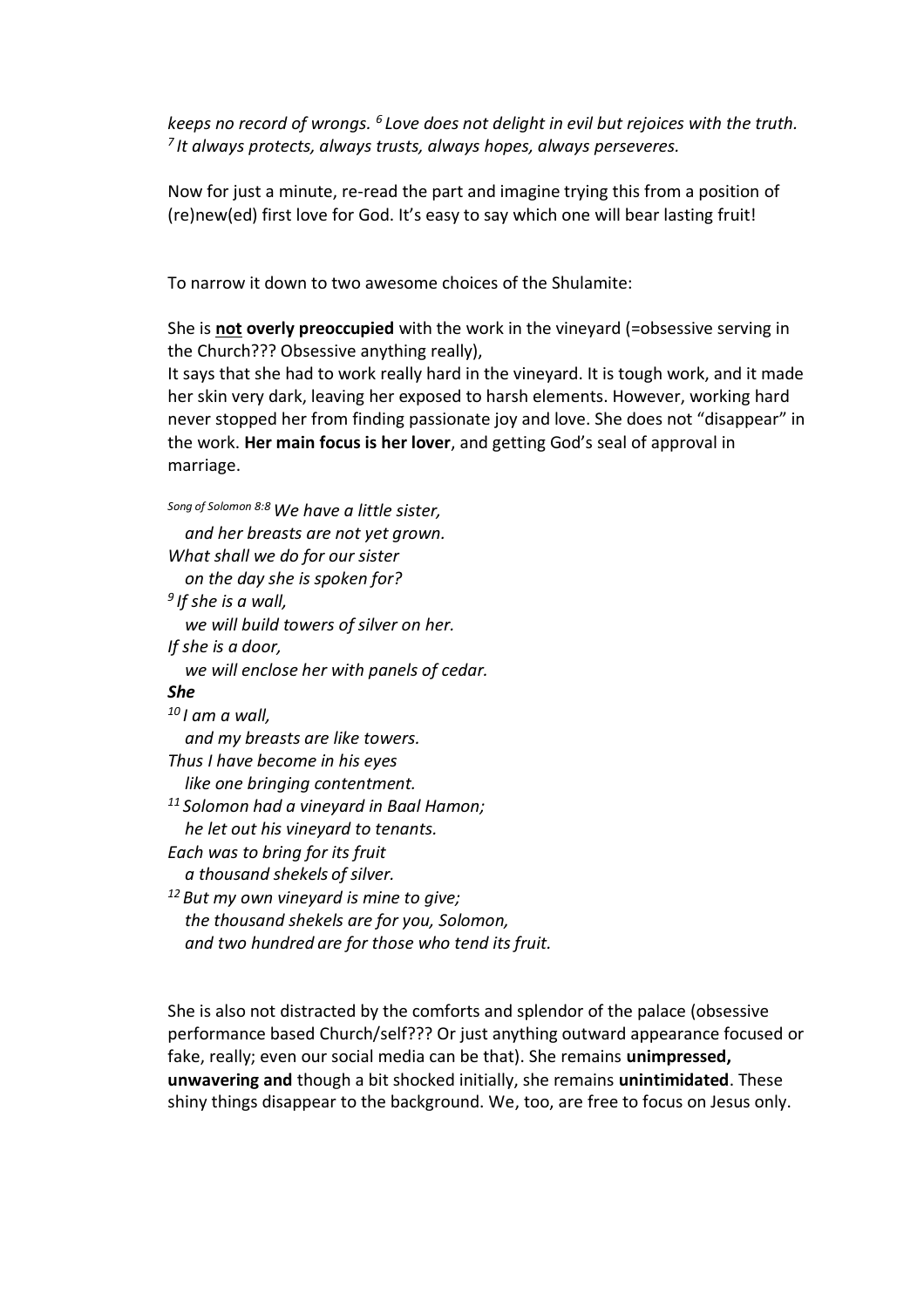*keeps no record of wrongs. <sup>6</sup> Love does not delight in evil but rejoices with the truth. 7 It always protects, always trusts, always hopes, always perseveres.*

Now for just a minute, re-read the part and imagine trying this from a position of (re)new(ed) first love for God. It's easy to say which one will bear lasting fruit!

To narrow it down to two awesome choices of the Shulamite:

She is **not overly preoccupied** with the work in the vineyard (=obsessive serving in the Church??? Obsessive anything really),

It says that she had to work really hard in the vineyard. It is tough work, and it made her skin very dark, leaving her exposed to harsh elements. However, working hard never stopped her from finding passionate joy and love. She does not "disappear" in the work. **Her main focus is her lover**, and getting God's seal of approval in marriage.

| Song of Solomon 8:8 We have a little sister,        |
|-----------------------------------------------------|
| and her breasts are not yet grown.                  |
| What shall we do for our sister                     |
| on the day she is spoken for?                       |
| <sup>9</sup> If she is a wall,                      |
| we will build towers of silver on her.              |
| If she is a door,                                   |
| we will enclose her with panels of cedar.           |
| <b>She</b>                                          |
| <sup>10</sup> I am a wall,                          |
| and my breasts are like towers.                     |
| Thus I have become in his eyes                      |
| like one bringing contentment.                      |
| <sup>11</sup> Solomon had a vineyard in Baal Hamon; |
| he let out his vineyard to tenants.                 |
| Each was to bring for its fruit                     |
| a thousand shekels of silver.                       |
| $12$ But my own vineyard is mine to give;           |
| the thousand shekels are for you, Solomon,          |
| and two hundred are for those who tend its fruit.   |

She is also not distracted by the comforts and splendor of the palace (obsessive performance based Church/self??? Or just anything outward appearance focused or fake, really; even our social media can be that). She remains **unimpressed, unwavering and** though a bit shocked initially, she remains **unintimidated**. These shiny things disappear to the background. We, too, are free to focus on Jesus only.